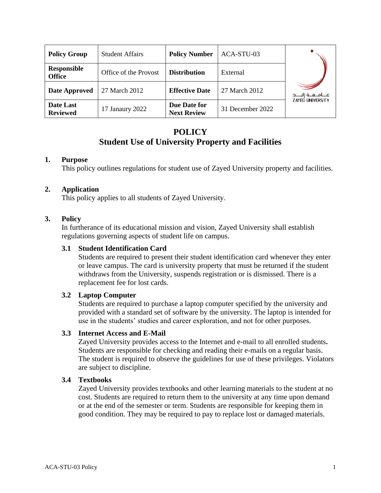| <b>Policy Group</b>                 | <b>Student Affairs</b> | <b>Policy Number</b>               | ACA-STU-03       |                         |
|-------------------------------------|------------------------|------------------------------------|------------------|-------------------------|
| <b>Responsible</b><br><b>Office</b> | Office of the Provost  | <b>Distribution</b>                | External         |                         |
| <b>Date Approved</b>                | 27 March 2012          | <b>Effective Date</b>              | 27 March 2012    | مــــامـــــه زايـــــد |
| Date Last<br><b>Reviewed</b>        | 17 Janaury 2022        | Due Date for<br><b>Next Review</b> | 31 December 2022 | <b>ZAYED UNIVERSITY</b> |

# **POLICY Student Use of University Property and Facilities**

## **1. Purpose**

This policy outlines regulations for student use of Zayed University property and facilities.

#### **2. Application**

This policy applies to all students of Zayed University.

#### **3. Policy**

In furtherance of its educational mission and vision, Zayed University shall establish regulations governing aspects of student life on campus.

#### **3.1 Student Identification Card**

Students are required to present their student identification card whenever they enter or leave campus. The card is university property that must be returned if the student withdraws from the University, suspends registration or is dismissed. There is a replacement fee for lost cards.

#### **3.2 Laptop Computer**

Students are required to purchase a laptop computer specified by the university and provided with a standard set of software by the university. The laptop is intended for use in the students' studies and career exploration, and not for other purposes.

### **3.3 Internet Access and E-Mail**

Zayed University provides access to the Internet and e-mail to all enrolled students**.**  Students are responsible for checking and reading their e-mails on a regular basis. The student is required to observe the guidelines for use of these privileges. Violators are subject to discipline.

#### **3.4 Textbooks**

Zayed University provides textbooks and other learning materials to the student at no cost. Students are required to return them to the university at any time upon demand or at the end of the semester or term. Students are responsible for keeping them in good condition. They may be required to pay to replace lost or damaged materials.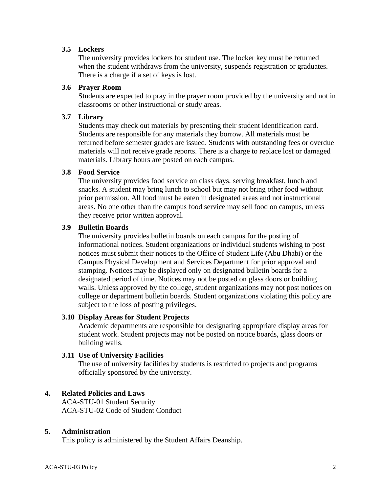## **3.5 Lockers**

The university provides lockers for student use. The locker key must be returned when the student withdraws from the university, suspends registration or graduates. There is a charge if a set of keys is lost.

#### **3.6 Prayer Room**

Students are expected to pray in the prayer room provided by the university and not in classrooms or other instructional or study areas.

#### **3.7 Library**

Students may check out materials by presenting their student identification card. Students are responsible for any materials they borrow. All materials must be returned before semester grades are issued. Students with outstanding fees or overdue materials will not receive grade reports. There is a charge to replace lost or damaged materials. Library hours are posted on each campus.

#### **3.8 Food Service**

The university provides food service on class days, serving breakfast, lunch and snacks. A student may bring lunch to school but may not bring other food without prior permission. All food must be eaten in designated areas and not instructional areas. No one other than the campus food service may sell food on campus, unless they receive prior written approval.

#### **3.9 Bulletin Boards**

The university provides bulletin boards on each campus for the posting of informational notices. Student organizations or individual students wishing to post notices must submit their notices to the Office of Student Life (Abu Dhabi) or the Campus Physical Development and Services Department for prior approval and stamping. Notices may be displayed only on designated bulletin boards for a designated period of time. Notices may not be posted on glass doors or building walls. Unless approved by the college, student organizations may not post notices on college or department bulletin boards. Student organizations violating this policy are subject to the loss of posting privileges.

#### **3.10 Display Areas for Student Projects**

Academic departments are responsible for designating appropriate display areas for student work. Student projects may not be posted on notice boards, glass doors or building walls.

## **3.11 Use of University Facilities**

The use of university facilities by students is restricted to projects and programs officially sponsored by the university.

## **4. Related Policies and Laws**

ACA-STU-01 Student Security ACA-STU-02 Code of Student Conduct

## **5. Administration**

This policy is administered by the Student Affairs Deanship.